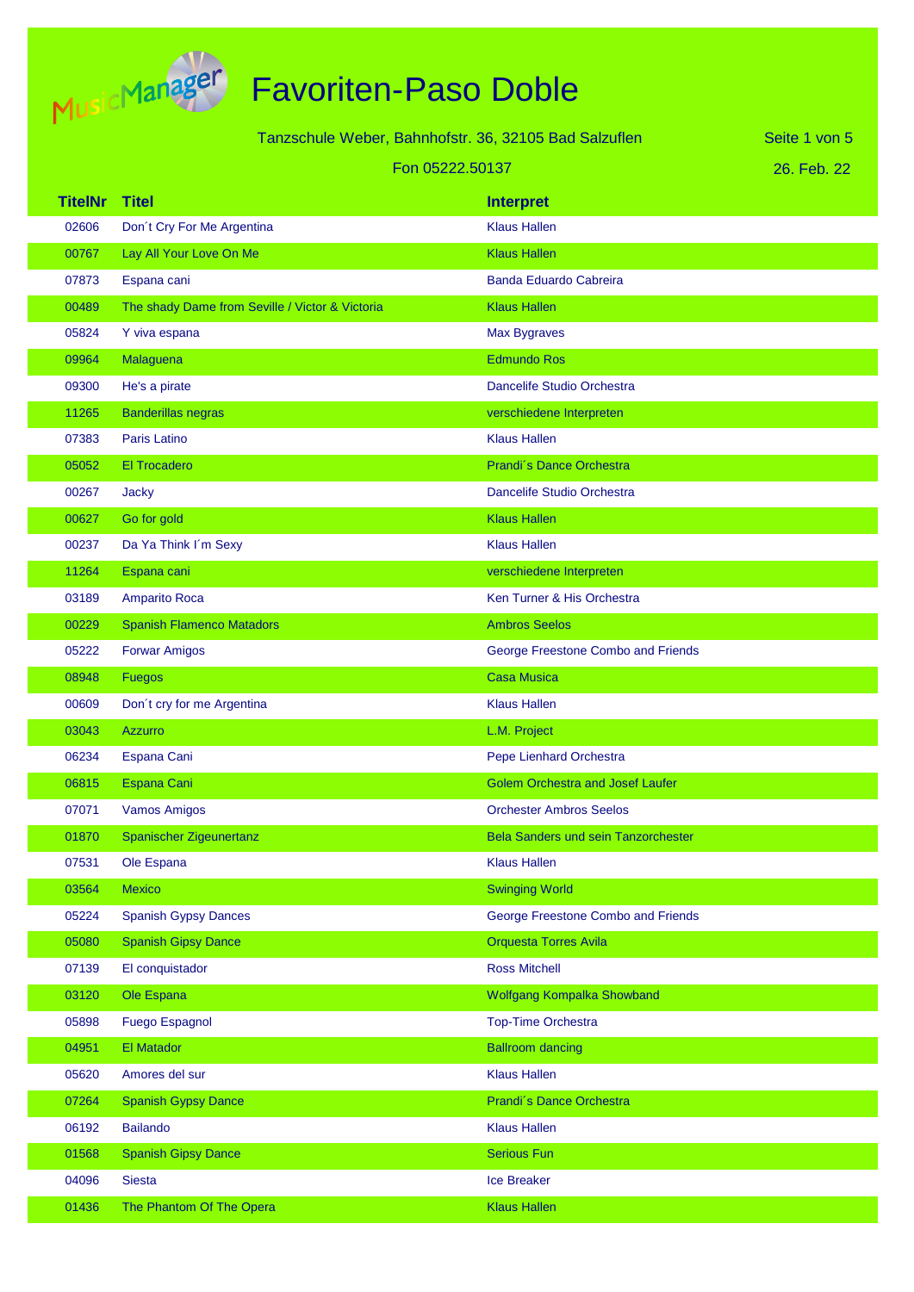

|                | Tanzschule Weber, Bahnhofstr. 36, 32105 Bad Salzuflen<br>Seite 1 von 5 |                                         |             |  |
|----------------|------------------------------------------------------------------------|-----------------------------------------|-------------|--|
|                | Fon 05222.50137                                                        |                                         | 26. Feb. 22 |  |
| <b>TitelNr</b> | <b>Titel</b>                                                           | <b>Interpret</b>                        |             |  |
| 02606          | Don't Cry For Me Argentina                                             | <b>Klaus Hallen</b>                     |             |  |
| 00767          | Lay All Your Love On Me                                                | <b>Klaus Hallen</b>                     |             |  |
| 07873          | Espana cani                                                            | <b>Banda Eduardo Cabreira</b>           |             |  |
| 00489          | The shady Dame from Seville / Victor & Victoria                        | <b>Klaus Hallen</b>                     |             |  |
| 05824          | Y viva espana                                                          | Max Bygraves                            |             |  |
| 09964          | Malaguena                                                              | <b>Edmundo Ros</b>                      |             |  |
| 09300          | He's a pirate                                                          | Dancelife Studio Orchestra              |             |  |
| 11265          | <b>Banderillas negras</b>                                              | verschiedene Interpreten                |             |  |
| 07383          | Paris Latino                                                           | <b>Klaus Hallen</b>                     |             |  |
| 05052          | <b>El Trocadero</b>                                                    | Prandi's Dance Orchestra                |             |  |
| 00267          | <b>Jacky</b>                                                           | Dancelife Studio Orchestra              |             |  |
| 00627          | Go for gold                                                            | <b>Klaus Hallen</b>                     |             |  |
| 00237          | Da Ya Think I'm Sexy                                                   | <b>Klaus Hallen</b>                     |             |  |
| 11264          | Espana cani                                                            | verschiedene Interpreten                |             |  |
| 03189          | <b>Amparito Roca</b>                                                   | Ken Turner & His Orchestra              |             |  |
| 00229          | <b>Spanish Flamenco Matadors</b>                                       | <b>Ambros Seelos</b>                    |             |  |
| 05222          | <b>Forwar Amigos</b>                                                   | George Freestone Combo and Friends      |             |  |
| 08948          | <b>Fuegos</b>                                                          | <b>Casa Musica</b>                      |             |  |
| 00609          | Don't cry for me Argentina                                             | <b>Klaus Hallen</b>                     |             |  |
| 03043          | <b>Azzurro</b>                                                         | L.M. Project                            |             |  |
| 06234          | Espana Cani                                                            | Pepe Lienhard Orchestra                 |             |  |
| 06815          | Espana Cani                                                            | <b>Golem Orchestra and Josef Laufer</b> |             |  |
| 07071          | <b>Vamos Amigos</b>                                                    | <b>Orchester Ambros Seelos</b>          |             |  |
| 01870          | Spanischer Zigeunertanz                                                | Bela Sanders und sein Tanzorchester     |             |  |
| 07531          | Ole Espana                                                             | <b>Klaus Hallen</b>                     |             |  |
| 03564          | <b>Mexico</b>                                                          | <b>Swinging World</b>                   |             |  |
| 05224          | <b>Spanish Gypsy Dances</b>                                            | George Freestone Combo and Friends      |             |  |
| 05080          | <b>Spanish Gipsy Dance</b>                                             | <b>Orquesta Torres Avila</b>            |             |  |
| 07139          | El conquistador                                                        | <b>Ross Mitchell</b>                    |             |  |
| 03120          | Ole Espana                                                             | Wolfgang Kompalka Showband              |             |  |
| 05898          | <b>Fuego Espagnol</b>                                                  | <b>Top-Time Orchestra</b>               |             |  |
| 04951          | <b>El Matador</b>                                                      | <b>Ballroom dancing</b>                 |             |  |
| 05620          | Amores del sur                                                         | <b>Klaus Hallen</b>                     |             |  |
| 07264          | <b>Spanish Gypsy Dance</b>                                             | Prandi's Dance Orchestra                |             |  |
| 06192          | <b>Bailando</b>                                                        | <b>Klaus Hallen</b>                     |             |  |
| 01568          | <b>Spanish Gipsy Dance</b>                                             | <b>Serious Fun</b>                      |             |  |
| 04096          | Siesta                                                                 | Ice Breaker                             |             |  |
| 01436          | The Phantom Of The Opera                                               | <b>Klaus Hallen</b>                     |             |  |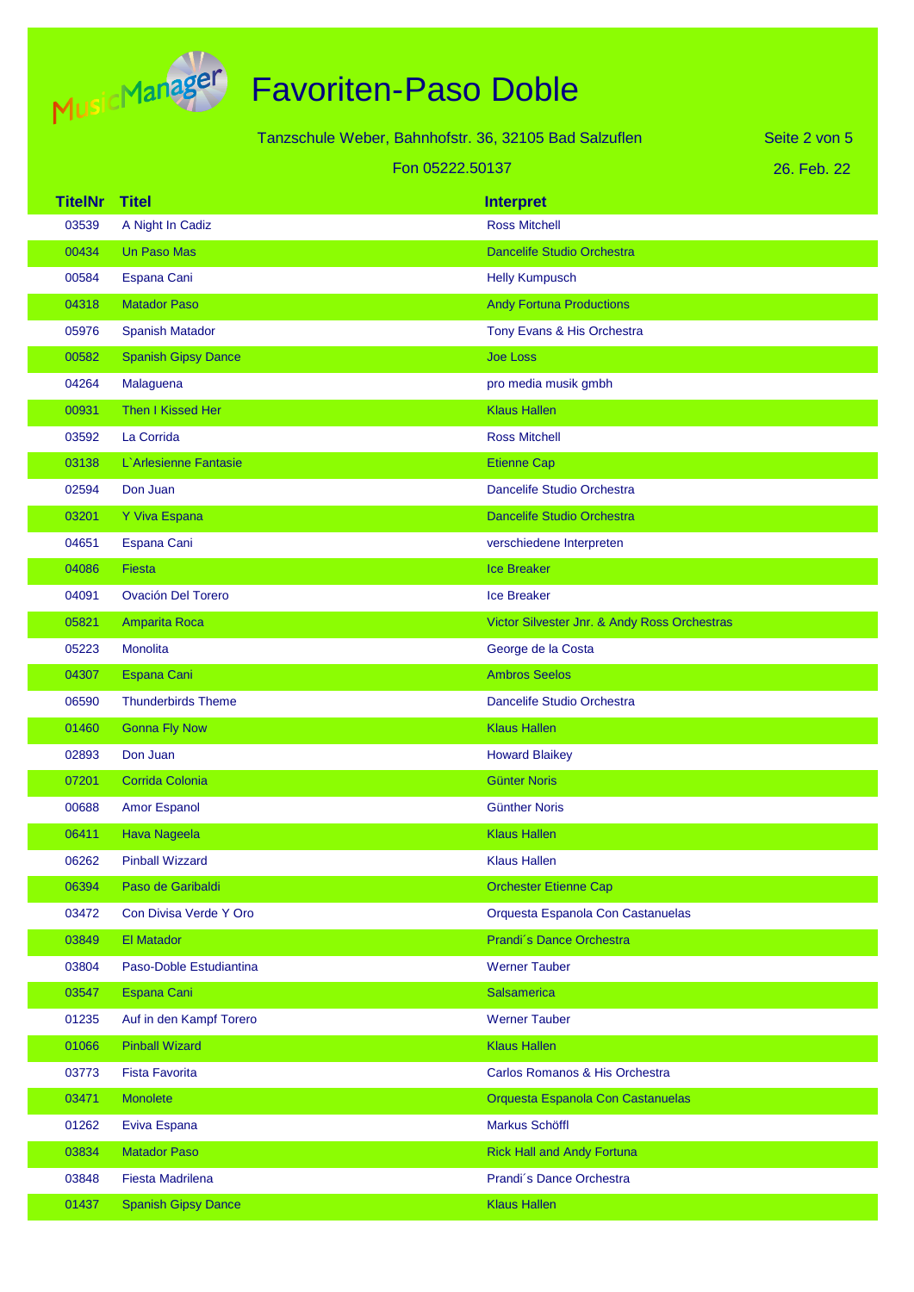

|                | Tanzschule Weber, Bahnhofstr. 36, 32105 Bad Salzuflen |                 |                                              | Seite 2 von 5 |
|----------------|-------------------------------------------------------|-----------------|----------------------------------------------|---------------|
|                |                                                       | Fon 05222.50137 |                                              | 26. Feb. 22   |
| <b>TitelNr</b> | <b>Titel</b>                                          |                 | <b>Interpret</b>                             |               |
| 03539          | A Night In Cadiz                                      |                 | <b>Ross Mitchell</b>                         |               |
| 00434          | <b>Un Paso Mas</b>                                    |                 | <b>Dancelife Studio Orchestra</b>            |               |
| 00584          | Espana Cani                                           |                 | <b>Helly Kumpusch</b>                        |               |
| 04318          | <b>Matador Paso</b>                                   |                 | <b>Andy Fortuna Productions</b>              |               |
| 05976          | <b>Spanish Matador</b>                                |                 | Tony Evans & His Orchestra                   |               |
| 00582          | <b>Spanish Gipsy Dance</b>                            |                 | <b>Joe Loss</b>                              |               |
| 04264          | Malaguena                                             |                 | pro media musik gmbh                         |               |
| 00931          | Then I Kissed Her                                     |                 | <b>Klaus Hallen</b>                          |               |
| 03592          | La Corrida                                            |                 | <b>Ross Mitchell</b>                         |               |
| 03138          | L'Arlesienne Fantasie                                 |                 | <b>Etienne Cap</b>                           |               |
| 02594          | Don Juan                                              |                 | Dancelife Studio Orchestra                   |               |
| 03201          | Y Viva Espana                                         |                 | <b>Dancelife Studio Orchestra</b>            |               |
| 04651          | Espana Cani                                           |                 | verschiedene Interpreten                     |               |
| 04086          | <b>Fiesta</b>                                         |                 | <b>Ice Breaker</b>                           |               |
| 04091          | <b>Ovación Del Torero</b>                             |                 | <b>Ice Breaker</b>                           |               |
| 05821          | Amparita Roca                                         |                 | Victor Silvester Jnr. & Andy Ross Orchestras |               |
| 05223          | Monolita                                              |                 | George de la Costa                           |               |
| 04307          | Espana Cani                                           |                 | <b>Ambros Seelos</b>                         |               |
| 06590          | <b>Thunderbirds Theme</b>                             |                 | Dancelife Studio Orchestra                   |               |
| 01460          | <b>Gonna Fly Now</b>                                  |                 | <b>Klaus Hallen</b>                          |               |
| 02893          | Don Juan                                              |                 | <b>Howard Blaikey</b>                        |               |
| 07201          | Corrida Colonia                                       |                 | <b>Günter Noris</b>                          |               |
| 00688          | <b>Amor Espanol</b>                                   |                 | <b>Günther Noris</b>                         |               |
| 06411          | Hava Nageela                                          |                 | <b>Klaus Hallen</b>                          |               |
| 06262          | <b>Pinball Wizzard</b>                                |                 | <b>Klaus Hallen</b>                          |               |
| 06394          | Paso de Garibaldi                                     |                 | <b>Orchester Etienne Cap</b>                 |               |
| 03472          | Con Divisa Verde Y Oro                                |                 | Orquesta Espanola Con Castanuelas            |               |
| 03849          | El Matador                                            |                 | Prandi's Dance Orchestra                     |               |
| 03804          | Paso-Doble Estudiantina                               |                 | <b>Werner Tauber</b>                         |               |
| 03547          | Espana Cani                                           |                 | <b>Salsamerica</b>                           |               |
| 01235          | Auf in den Kampf Torero                               |                 | <b>Werner Tauber</b>                         |               |
| 01066          | <b>Pinball Wizard</b>                                 |                 | <b>Klaus Hallen</b>                          |               |
| 03773          | <b>Fista Favorita</b>                                 |                 | Carlos Romanos & His Orchestra               |               |
| 03471          | Monolete                                              |                 | Orquesta Espanola Con Castanuelas            |               |
| 01262          | Eviva Espana                                          |                 | Markus Schöffl                               |               |
| 03834          | <b>Matador Paso</b>                                   |                 | <b>Rick Hall and Andy Fortuna</b>            |               |
| 03848          | <b>Fiesta Madrilena</b>                               |                 | Prandi's Dance Orchestra                     |               |
| 01437          | <b>Spanish Gipsy Dance</b>                            |                 | <b>Klaus Hallen</b>                          |               |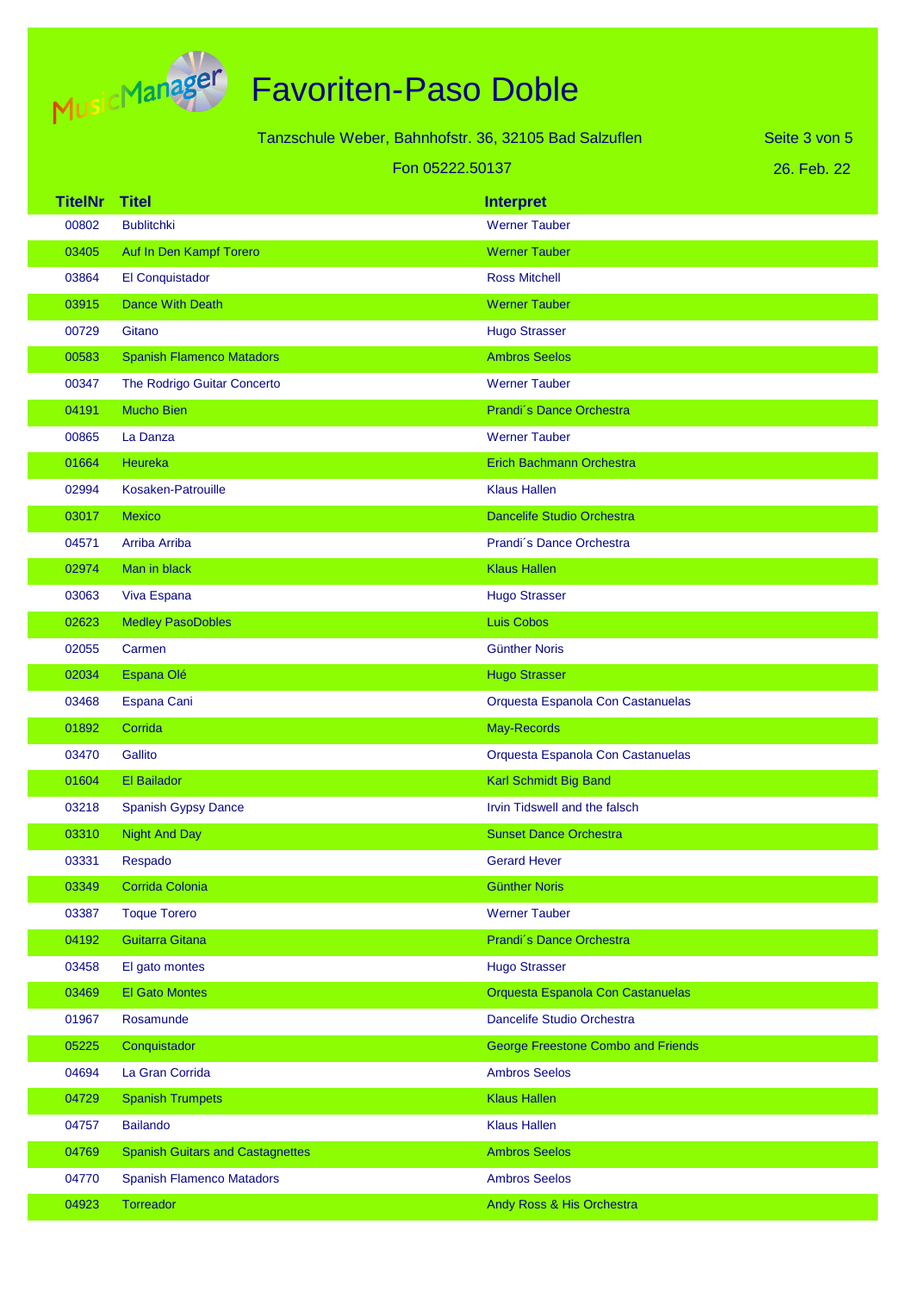

|                | Tanzschule Weber, Bahnhofstr. 36, 32105 Bad Salzuflen<br>Seite 3 von 5 |                                           |             |
|----------------|------------------------------------------------------------------------|-------------------------------------------|-------------|
|                | Fon 05222.50137                                                        |                                           | 26. Feb. 22 |
| <b>TitelNr</b> | <b>Titel</b>                                                           | <b>Interpret</b>                          |             |
| 00802          | <b>Bublitchki</b>                                                      | <b>Werner Tauber</b>                      |             |
| 03405          | Auf In Den Kampf Torero                                                | <b>Werner Tauber</b>                      |             |
| 03864          | El Conquistador                                                        | <b>Ross Mitchell</b>                      |             |
| 03915          | <b>Dance With Death</b>                                                | <b>Werner Tauber</b>                      |             |
| 00729          | Gitano                                                                 | <b>Hugo Strasser</b>                      |             |
| 00583          | <b>Spanish Flamenco Matadors</b>                                       | <b>Ambros Seelos</b>                      |             |
| 00347          | The Rodrigo Guitar Concerto                                            | <b>Werner Tauber</b>                      |             |
| 04191          | <b>Mucho Bien</b>                                                      | Prandi's Dance Orchestra                  |             |
| 00865          | La Danza                                                               | <b>Werner Tauber</b>                      |             |
| 01664          | Heureka                                                                | <b>Erich Bachmann Orchestra</b>           |             |
| 02994          | Kosaken-Patrouille                                                     | <b>Klaus Hallen</b>                       |             |
| 03017          | <b>Mexico</b>                                                          | <b>Dancelife Studio Orchestra</b>         |             |
| 04571          | Arriba Arriba                                                          | Prandi's Dance Orchestra                  |             |
| 02974          | Man in black                                                           | <b>Klaus Hallen</b>                       |             |
| 03063          | Viva Espana                                                            | <b>Hugo Strasser</b>                      |             |
| 02623          | <b>Medley PasoDobles</b>                                               | <b>Luis Cobos</b>                         |             |
| 02055          | Carmen                                                                 | <b>Günther Noris</b>                      |             |
| 02034          | Espana Olé                                                             | <b>Hugo Strasser</b>                      |             |
| 03468          | Espana Cani                                                            | Orquesta Espanola Con Castanuelas         |             |
| 01892          | Corrida                                                                | May-Records                               |             |
| 03470          | Gallito                                                                | Orquesta Espanola Con Castanuelas         |             |
| 01604          | <b>El Bailador</b>                                                     | Karl Schmidt Big Band                     |             |
| 03218          | Spanish Gypsy Dance                                                    | Irvin Tidswell and the falsch             |             |
| 03310          | <b>Night And Day</b>                                                   | <b>Sunset Dance Orchestra</b>             |             |
| 03331          | Respado                                                                | <b>Gerard Hever</b>                       |             |
| 03349          | Corrida Colonia                                                        | <b>Günther Noris</b>                      |             |
| 03387          | <b>Toque Torero</b>                                                    | <b>Werner Tauber</b>                      |             |
| 04192          | <b>Guitarra Gitana</b>                                                 | Prandi's Dance Orchestra                  |             |
| 03458          | El gato montes                                                         | <b>Hugo Strasser</b>                      |             |
| 03469          | <b>El Gato Montes</b>                                                  | Orquesta Espanola Con Castanuelas         |             |
| 01967          | Rosamunde                                                              | Dancelife Studio Orchestra                |             |
| 05225          | Conquistador                                                           | <b>George Freestone Combo and Friends</b> |             |
| 04694          | La Gran Corrida                                                        | <b>Ambros Seelos</b>                      |             |
| 04729          | <b>Spanish Trumpets</b>                                                | <b>Klaus Hallen</b>                       |             |
| 04757          | <b>Bailando</b>                                                        | <b>Klaus Hallen</b>                       |             |
| 04769          | <b>Spanish Guitars and Castagnettes</b>                                | <b>Ambros Seelos</b>                      |             |
| 04770          | <b>Spanish Flamenco Matadors</b>                                       | <b>Ambros Seelos</b>                      |             |
| 04923          | Torreador                                                              | Andy Ross & His Orchestra                 |             |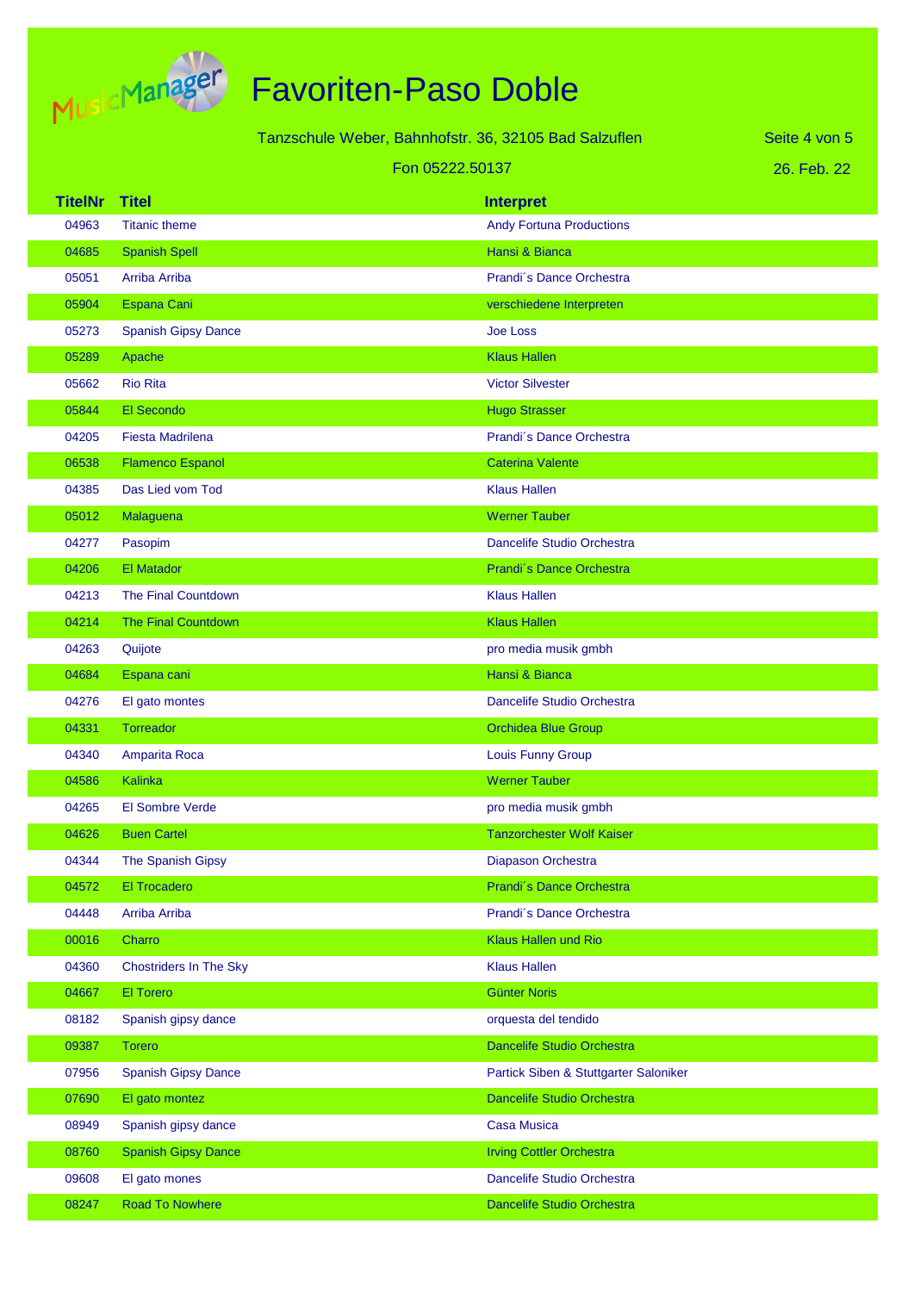

|                |                               | Tanzschule Weber, Bahnhofstr. 36, 32105 Bad Salzuflen |                                       | Seite 4 von 5 |
|----------------|-------------------------------|-------------------------------------------------------|---------------------------------------|---------------|
|                |                               | Fon 05222.50137                                       |                                       | 26. Feb. 22   |
| <b>TitelNr</b> | <b>Titel</b>                  |                                                       | <b>Interpret</b>                      |               |
| 04963          | <b>Titanic theme</b>          |                                                       | <b>Andy Fortuna Productions</b>       |               |
| 04685          | <b>Spanish Spell</b>          |                                                       | Hansi & Bianca                        |               |
| 05051          | Arriba Arriba                 |                                                       | Prandi's Dance Orchestra              |               |
| 05904          | <b>Espana Cani</b>            |                                                       | verschiedene Interpreten              |               |
| 05273          | <b>Spanish Gipsy Dance</b>    |                                                       | <b>Joe Loss</b>                       |               |
| 05289          | Apache                        |                                                       | <b>Klaus Hallen</b>                   |               |
| 05662          | <b>Rio Rita</b>               |                                                       | <b>Victor Silvester</b>               |               |
| 05844          | El Secondo                    |                                                       | <b>Hugo Strasser</b>                  |               |
| 04205          | <b>Fiesta Madrilena</b>       |                                                       | Prandi's Dance Orchestra              |               |
| 06538          | <b>Flamenco Espanol</b>       |                                                       | <b>Caterina Valente</b>               |               |
| 04385          | Das Lied vom Tod              |                                                       | <b>Klaus Hallen</b>                   |               |
| 05012          | Malaguena                     |                                                       | <b>Werner Tauber</b>                  |               |
| 04277          | Pasopim                       |                                                       | Dancelife Studio Orchestra            |               |
| 04206          | El Matador                    |                                                       | Prandi's Dance Orchestra              |               |
| 04213          | The Final Countdown           |                                                       | <b>Klaus Hallen</b>                   |               |
| 04214          | <b>The Final Countdown</b>    |                                                       | <b>Klaus Hallen</b>                   |               |
| 04263          | Quijote                       |                                                       | pro media musik gmbh                  |               |
| 04684          | Espana cani                   |                                                       | Hansi & Bianca                        |               |
| 04276          | El gato montes                |                                                       | Dancelife Studio Orchestra            |               |
| 04331          | Torreador                     |                                                       | <b>Orchidea Blue Group</b>            |               |
| 04340          | Amparita Roca                 |                                                       | <b>Louis Funny Group</b>              |               |
| 04586          | Kalinka                       |                                                       | <b>Werner Tauber</b>                  |               |
| 04265          | <b>El Sombre Verde</b>        |                                                       | pro media musik gmbh                  |               |
| 04626          | <b>Buen Cartel</b>            |                                                       | <b>Tanzorchester Wolf Kaiser</b>      |               |
| 04344          | The Spanish Gipsy             |                                                       | Diapason Orchestra                    |               |
| 04572          | <b>El Trocadero</b>           |                                                       | Prandi's Dance Orchestra              |               |
| 04448          | Arriba Arriba                 |                                                       | Prandi's Dance Orchestra              |               |
| 00016          | Charro                        |                                                       | <b>Klaus Hallen und Rio</b>           |               |
| 04360          | <b>Chostriders In The Sky</b> |                                                       | <b>Klaus Hallen</b>                   |               |
| 04667          | El Torero                     |                                                       | <b>Günter Noris</b>                   |               |
| 08182          | Spanish gipsy dance           |                                                       | orquesta del tendido                  |               |
| 09387          | <b>Torero</b>                 |                                                       | <b>Dancelife Studio Orchestra</b>     |               |
| 07956          | <b>Spanish Gipsy Dance</b>    |                                                       | Partick Siben & Stuttgarter Saloniker |               |
| 07690          | El gato montez                |                                                       | <b>Dancelife Studio Orchestra</b>     |               |
| 08949          | Spanish gipsy dance           |                                                       | <b>Casa Musica</b>                    |               |
| 08760          | <b>Spanish Gipsy Dance</b>    |                                                       | <b>Irving Cottler Orchestra</b>       |               |
| 09608          | El gato mones                 |                                                       | Dancelife Studio Orchestra            |               |
| 08247          | Road To Nowhere               |                                                       | Dancelife Studio Orchestra            |               |